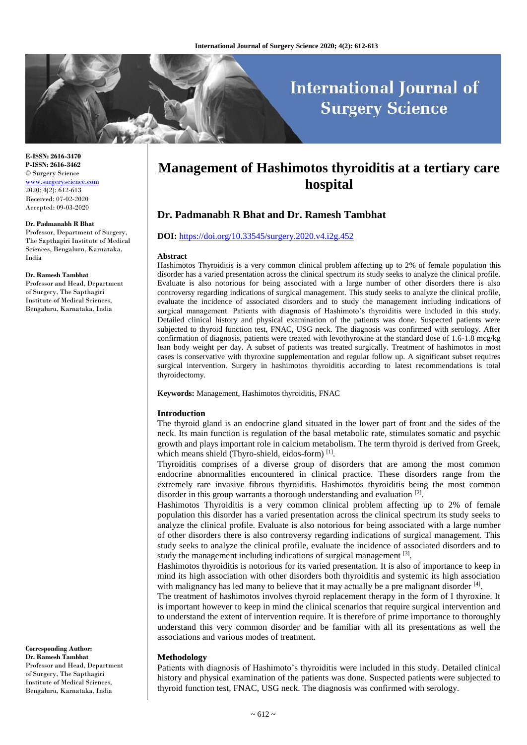# **International Journal of Surgery Science**

**E-ISSN: 2616-3470 P-ISSN: 2616-3462** © Surgery Science [www.surgeryscience.com](http://www.surgeryscience.com/) 2020; 4(2): 612-613 Received: 07-02-2020 Accepted: 09-03-2020

#### **Dr. Padmanabh R Bhat**

Professor, Department of Surgery, The Sapthagiri Institute of Medical Sciences, Bengaluru, Karnataka, India

#### **Dr. Ramesh Tambhat**

Professor and Head, Department of Surgery, The Sapthagiri Institute of Medical Sciences, Bengaluru, Karnataka, India

**Corresponding Author: Dr. Ramesh Tambhat** Professor and Head, Department of Surgery, The Sapthagiri Institute of Medical Sciences, Bengaluru, Karnataka, India

## **Management of Hashimotos thyroiditis at a tertiary care hospital**

### **Dr. Padmanabh R Bhat and Dr. Ramesh Tambhat**

#### **DOI:** <https://doi.org/10.33545/surgery.2020.v4.i2g.452>

#### **Abstract**

Hashimotos Thyroiditis is a very common clinical problem affecting up to 2% of female population this disorder has a varied presentation across the clinical spectrum its study seeks to analyze the clinical profile. Evaluate is also notorious for being associated with a large number of other disorders there is also controversy regarding indications of surgical management. This study seeks to analyze the clinical profile, evaluate the incidence of associated disorders and to study the management including indications of surgical management. Patients with diagnosis of Hashimoto's thyroiditis were included in this study. Detailed clinical history and physical examination of the patients was done. Suspected patients were subjected to thyroid function test, FNAC, USG neck. The diagnosis was confirmed with serology. After confirmation of diagnosis, patients were treated with levothyroxine at the standard dose of 1.6-1.8 mcg/kg lean body weight per day. A subset of patients was treated surgically. Treatment of hashimotos in most cases is conservative with thyroxine supplementation and regular follow up. A significant subset requires surgical intervention. Surgery in hashimotos thyroiditis according to latest recommendations is total thyroidectomy.

**Keywords:** Management, Hashimotos thyroiditis, FNAC

#### **Introduction**

The thyroid gland is an endocrine gland situated in the lower part of front and the sides of the neck. Its main function is regulation of the basal metabolic rate, stimulates somatic and psychic growth and plays important role in calcium metabolism. The term thyroid is derived from Greek, which means shield (Thyro-shield, eidos-form)<sup>[1]</sup>.

Thyroiditis comprises of a diverse group of disorders that are among the most common endocrine abnormalities encountered in clinical practice. These disorders range from the extremely rare invasive fibrous thyroiditis. Hashimotos thyroiditis being the most common disorder in this group warrants a thorough understanding and evaluation [2].

Hashimotos Thyroiditis is a very common clinical problem affecting up to 2% of female population this disorder has a varied presentation across the clinical spectrum its study seeks to analyze the clinical profile. Evaluate is also notorious for being associated with a large number of other disorders there is also controversy regarding indications of surgical management. This study seeks to analyze the clinical profile, evaluate the incidence of associated disorders and to study the management including indications of surgical management [3].

Hashimotos thyroiditis is notorious for its varied presentation. It is also of importance to keep in mind its high association with other disorders both thyroiditis and systemic its high association with malignancy has led many to believe that it may actually be a pre malignant disorder  $[4]$ .

The treatment of hashimotos involves thyroid replacement therapy in the form of I thyroxine. It is important however to keep in mind the clinical scenarios that require surgical intervention and to understand the extent of intervention require. It is therefore of prime importance to thoroughly understand this very common disorder and be familiar with all its presentations as well the associations and various modes of treatment.

#### **Methodology**

Patients with diagnosis of Hashimoto's thyroiditis were included in this study. Detailed clinical history and physical examination of the patients was done. Suspected patients were subjected to thyroid function test, FNAC, USG neck. The diagnosis was confirmed with serology.